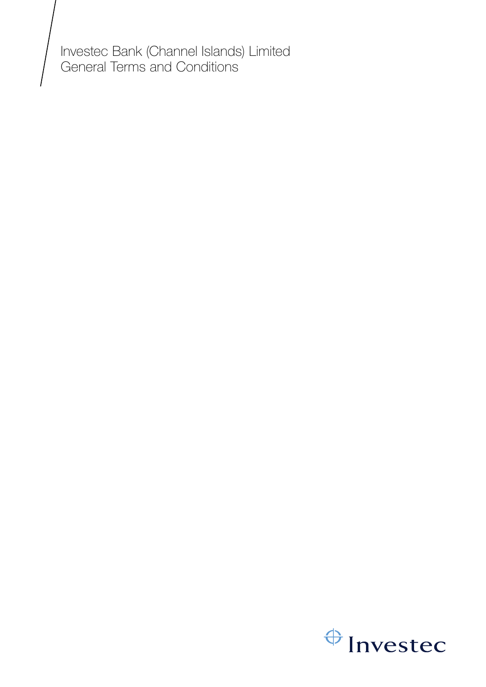Investec Bank (Channel Islands) Limited General Terms and Conditions

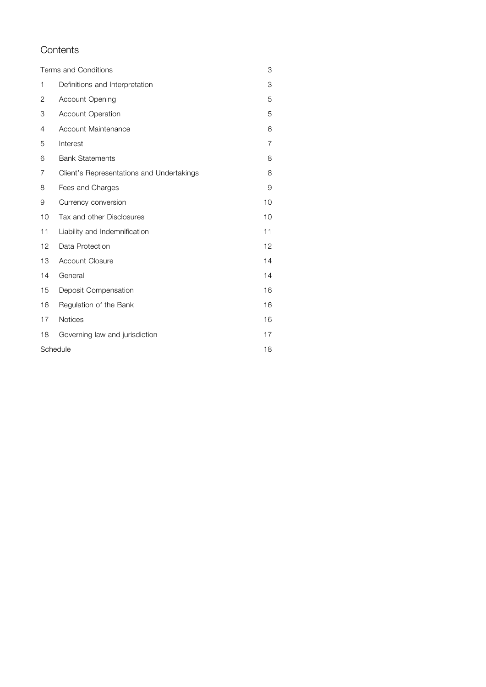# **Contents**

| Terms and Conditions |                                           |                |
|----------------------|-------------------------------------------|----------------|
| 1                    | Definitions and Interpretation            | 3              |
| 2                    | Account Opening                           | 5              |
| 3                    | <b>Account Operation</b>                  | 5              |
| 4                    | Account Maintenance                       | 6              |
| 5                    | Interest                                  | $\overline{7}$ |
| 6                    | <b>Bank Statements</b>                    | 8              |
| 7                    | Client's Representations and Undertakings | 8              |
| 8                    | Fees and Charges                          | 9              |
| 9                    | Currency conversion                       | 10             |
| 10                   | Tax and other Disclosures                 | 10             |
| 11                   | Liability and Indemnification             | 11             |
| 12                   | Data Protection                           | 12             |
| 13                   | <b>Account Closure</b>                    | 14             |
| 14                   | General                                   | 14             |
| 15                   | Deposit Compensation                      | 16             |
| 16                   | Regulation of the Bank                    | 16             |
| 17                   | <b>Notices</b>                            | 16             |
| 18                   | Governing law and jurisdiction            | 17             |
|                      | Schedule                                  | 18             |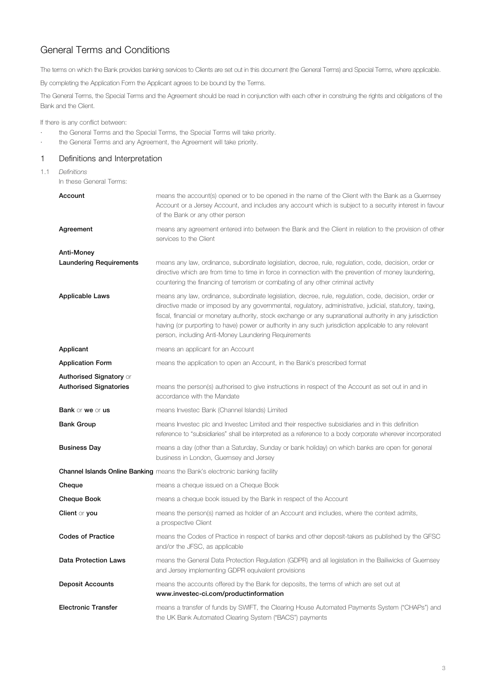<span id="page-2-0"></span>The terms on which the Bank provides banking services to Clients are set out in this document (the General Terms) and Special Terms, where applicable.

By completing the Application Form the Applicant agrees to be bound by the Terms.

The General Terms, the Special Terms and the Agreement should be read in conjunction with each other in construing the rights and obligations of the Bank and the Client.

If there is any conflict between:

- · the General Terms and the Special Terms, the Special Terms will take priority.
- · the General Terms and any Agreement, the Agreement will take priority.

# 1 Definitions and Interpretation

1.1 *Definitions*

In these General Terms:

| Account                                                         | means the account(s) opened or to be opened in the name of the Client with the Bank as a Guernsey<br>Account or a Jersey Account, and includes any account which is subject to a security interest in favour<br>of the Bank or any other person                                                                                                                                                                                                                                                 |
|-----------------------------------------------------------------|-------------------------------------------------------------------------------------------------------------------------------------------------------------------------------------------------------------------------------------------------------------------------------------------------------------------------------------------------------------------------------------------------------------------------------------------------------------------------------------------------|
| Agreement                                                       | means any agreement entered into between the Bank and the Client in relation to the provision of other<br>services to the Client                                                                                                                                                                                                                                                                                                                                                                |
| Anti-Money                                                      |                                                                                                                                                                                                                                                                                                                                                                                                                                                                                                 |
| <b>Laundering Requirements</b>                                  | means any law, ordinance, subordinate legislation, decree, rule, regulation, code, decision, order or<br>directive which are from time to time in force in connection with the prevention of money laundering,<br>countering the financing of terrorism or combating of any other criminal activity                                                                                                                                                                                             |
| <b>Applicable Laws</b>                                          | means any law, ordinance, subordinate legislation, decree, rule, regulation, code, decision, order or<br>directive made or imposed by any governmental, regulatory, administrative, judicial, statutory, taxing,<br>fiscal, financial or monetary authority, stock exchange or any supranational authority in any jurisdiction<br>having (or purporting to have) power or authority in any such jurisdiction applicable to any relevant<br>person, including Anti-Money Laundering Requirements |
| Applicant                                                       | means an applicant for an Account                                                                                                                                                                                                                                                                                                                                                                                                                                                               |
| <b>Application Form</b>                                         | means the application to open an Account, in the Bank's prescribed format                                                                                                                                                                                                                                                                                                                                                                                                                       |
| <b>Authorised Signatory or</b><br><b>Authorised Signatories</b> | means the person(s) authorised to give instructions in respect of the Account as set out in and in                                                                                                                                                                                                                                                                                                                                                                                              |
|                                                                 | accordance with the Mandate                                                                                                                                                                                                                                                                                                                                                                                                                                                                     |
| <b>Bank</b> or we or us                                         | means Investec Bank (Channel Islands) Limited                                                                                                                                                                                                                                                                                                                                                                                                                                                   |
| <b>Bank Group</b>                                               | means Investec plc and Investec Limited and their respective subsidiaries and in this definition<br>reference to "subsidiaries" shall be interpreted as a reference to a body corporate wherever incorporated                                                                                                                                                                                                                                                                                   |
| <b>Business Day</b>                                             | means a day (other than a Saturday, Sunday or bank holiday) on which banks are open for general<br>business in London, Guernsey and Jersey                                                                                                                                                                                                                                                                                                                                                      |
|                                                                 | <b>Channel Islands Online Banking</b> means the Bank's electronic banking facility                                                                                                                                                                                                                                                                                                                                                                                                              |
| Cheque                                                          | means a cheque issued on a Cheque Book                                                                                                                                                                                                                                                                                                                                                                                                                                                          |
| <b>Cheque Book</b>                                              | means a cheque book issued by the Bank in respect of the Account                                                                                                                                                                                                                                                                                                                                                                                                                                |
| <b>Client or you</b>                                            | means the person(s) named as holder of an Account and includes, where the context admits,<br>a prospective Client                                                                                                                                                                                                                                                                                                                                                                               |
| <b>Codes of Practice</b>                                        | means the Codes of Practice in respect of banks and other deposit-takers as published by the GFSC<br>and/or the JFSC, as applicable                                                                                                                                                                                                                                                                                                                                                             |
| <b>Data Protection Laws</b>                                     | means the General Data Protection Regulation (GDPR) and all legislation in the Bailiwicks of Guernsey<br>and Jersey implementing GDPR equivalent provisions                                                                                                                                                                                                                                                                                                                                     |
| <b>Deposit Accounts</b>                                         | means the accounts offered by the Bank for deposits, the terms of which are set out at<br>www.investec-ci.com/productinformation                                                                                                                                                                                                                                                                                                                                                                |
| <b>Electronic Transfer</b>                                      | means a transfer of funds by SWIFT, the Clearing House Automated Payments System ("CHAPs") and<br>the UK Bank Automated Clearing System ("BACS") payments                                                                                                                                                                                                                                                                                                                                       |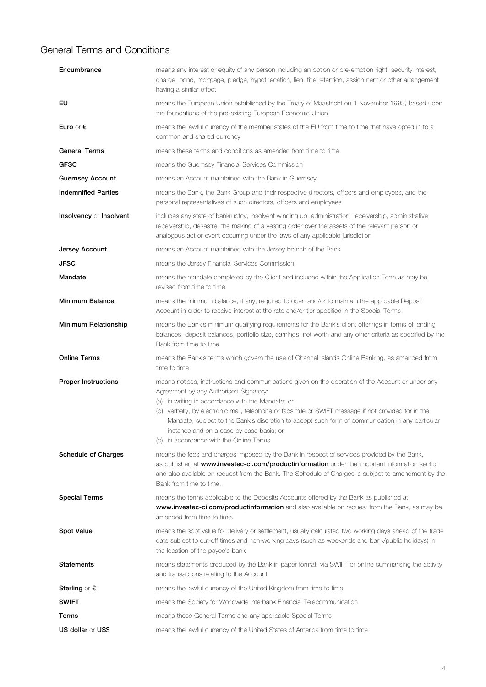| Encumbrance                 | means any interest or equity of any person including an option or pre-emption right, security interest,<br>charge, bond, mortgage, pledge, hypothecation, lien, title retention, assignment or other arrangement<br>having a similar effect                                                                                                                                                                                                                                                         |
|-----------------------------|-----------------------------------------------------------------------------------------------------------------------------------------------------------------------------------------------------------------------------------------------------------------------------------------------------------------------------------------------------------------------------------------------------------------------------------------------------------------------------------------------------|
| EU                          | means the European Union established by the Treaty of Maastricht on 1 November 1993, based upon<br>the foundations of the pre-existing European Economic Union                                                                                                                                                                                                                                                                                                                                      |
| Euro or $\epsilon$          | means the lawful currency of the member states of the EU from time to time that have opted in to a<br>common and shared currency                                                                                                                                                                                                                                                                                                                                                                    |
| <b>General Terms</b>        | means these terms and conditions as amended from time to time                                                                                                                                                                                                                                                                                                                                                                                                                                       |
| <b>GFSC</b>                 | means the Guernsey Financial Services Commission                                                                                                                                                                                                                                                                                                                                                                                                                                                    |
| <b>Guernsey Account</b>     | means an Account maintained with the Bank in Guemsey                                                                                                                                                                                                                                                                                                                                                                                                                                                |
| <b>Indemnified Parties</b>  | means the Bank, the Bank Group and their respective directors, officers and employees, and the<br>personal representatives of such directors, officers and employees                                                                                                                                                                                                                                                                                                                                |
| Insolvency or Insolvent     | includes any state of bankruptcy, insolvent winding up, administration, receivership, administrative<br>receivership, désastre, the making of a vesting order over the assets of the relevant person or<br>analogous act or event occurring under the laws of any applicable jurisdiction                                                                                                                                                                                                           |
| Jersey Account              | means an Account maintained with the Jersey branch of the Bank                                                                                                                                                                                                                                                                                                                                                                                                                                      |
| <b>JFSC</b>                 | means the Jersey Financial Services Commission                                                                                                                                                                                                                                                                                                                                                                                                                                                      |
| Mandate                     | means the mandate completed by the Client and included within the Application Form as may be<br>revised from time to time                                                                                                                                                                                                                                                                                                                                                                           |
| <b>Minimum Balance</b>      | means the minimum balance, if any, required to open and/or to maintain the applicable Deposit<br>Account in order to receive interest at the rate and/or tier specified in the Special Terms                                                                                                                                                                                                                                                                                                        |
| <b>Minimum Relationship</b> | means the Bank's minimum qualifying requirements for the Bank's client offerings in terms of lending<br>balances, deposit balances, portfolio size, earnings, net worth and any other criteria as specified by the<br>Bank from time to time                                                                                                                                                                                                                                                        |
| <b>Online Terms</b>         | means the Bank's terms which govern the use of Channel Islands Online Banking, as amended from<br>time to time                                                                                                                                                                                                                                                                                                                                                                                      |
| <b>Proper Instructions</b>  | means notices, instructions and communications given on the operation of the Account or under any<br>Agreement by any Authorised Signatory:<br>(a) in writing in accordance with the Mandate; or<br>(b) verbally, by electronic mail, telephone or facsimile or SWIFT message if not provided for in the<br>Mandate, subject to the Bank's discretion to accept such form of communication in any particular<br>instance and on a case by case basis; or<br>(c) in accordance with the Online Terms |
| <b>Schedule of Charges</b>  | means the fees and charges imposed by the Bank in respect of services provided by the Bank,<br>as published at www.investec-ci.com/productinformation under the Important Information section<br>and also available on request from the Bank. The Schedule of Charges is subject to amendment by the<br>Bank from time to time.                                                                                                                                                                     |
| <b>Special Terms</b>        | means the terms applicable to the Deposits Accounts offered by the Bank as published at<br>www.investec-ci.com/productinformation and also available on request from the Bank, as may be<br>amended from time to time.                                                                                                                                                                                                                                                                              |
| <b>Spot Value</b>           | means the spot value for delivery or settlement, usually calculated two working days ahead of the trade<br>date subject to cut-off times and non-working days (such as weekends and bank/public holidays) in<br>the location of the payee's bank                                                                                                                                                                                                                                                    |
| Statements                  | means statements produced by the Bank in paper format, via SWIFT or online summarising the activity<br>and transactions relating to the Account                                                                                                                                                                                                                                                                                                                                                     |
| <b>Sterling</b> or $E$      | means the lawful currency of the United Kingdom from time to time                                                                                                                                                                                                                                                                                                                                                                                                                                   |
| <b>SWIFT</b>                | means the Society for Worldwide Interbank Financial Telecommunication                                                                                                                                                                                                                                                                                                                                                                                                                               |
| Terms                       | means these General Terms and any applicable Special Terms                                                                                                                                                                                                                                                                                                                                                                                                                                          |
| <b>US dollar or US\$</b>    | means the lawful currency of the United States of America from time to time                                                                                                                                                                                                                                                                                                                                                                                                                         |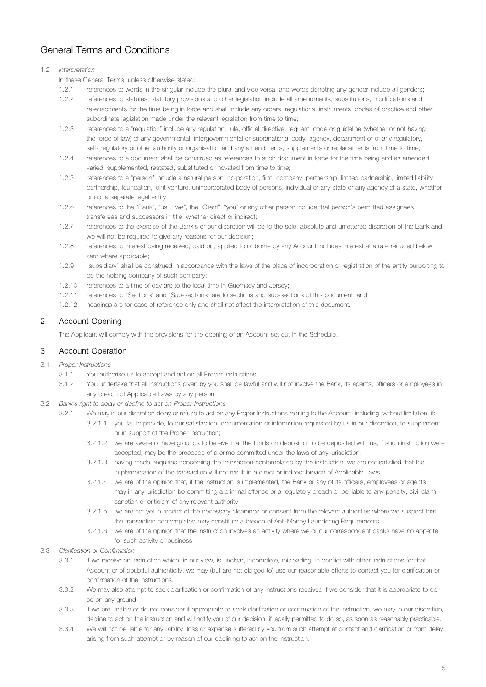### <span id="page-4-0"></span>1.2 *Interpretation*

In these General Terms, unless otherwise stated:

- 1.2.1 references to words in the singular include the plural and vice versa, and words denoting any gender include all genders;
- 1.2.2 references to statutes, statutory provisions and other legislation include all amendments, substitutions, modifications and re-enactments for the time being in force and shall include any orders, regulations, instruments, codes of practice and other subordinate legislation made under the relevant legislation from time to time;
- 1.2.3 references to a "regulation" include any regulation, rule, official directive, request, code or guideline (whether or not having the force of law) of any governmental, intergovernmental or supranational body, agency, department or of any regulatory, self- regulatory or other authority or organisation and any amendments, supplements or replacements from time to time;
- 1.2.4 references to a document shall be construed as references to such document in force for the time being and as amended, varied, supplemented, restated, substituted or novated from time to time;
- 1.2.5 references to a "person" include a natural person, corporation, firm, company, partnership, limited partnership, limited liability partnership, foundation, joint venture, unincorporated body of persons, individual or any state or any agency of a state, whether or not a separate legal entity;
- 1.2.6 references to the "Bank", "us", "we", the "Client", "you" or any other person include that person's permitted assignees, transferees and successors in title, whether direct or indirect;
- 1.2.7 references to the exercise of the Bank's or our discretion will be to the sole, absolute and unfettered discretion of the Bank and we will not be required to give any reasons for our decision:
- 1.2.8 references to interest being received, paid on, applied to or borne by any Account includes interest at a rate reduced below zero where applicable;
- 1.2.9 "subsidiary" shall be construed in accordance with the laws of the place of incorporation or registration of the entity purporting to be the holding company of such company;
- 1.2.10 references to a time of day are to the local time in Guernsey and Jersey;
- 1.2.11 references to "Sections" and "Sub-sections" are to sections and sub-sections of this document; and
- 1.2.12 headings are for ease of reference only and shall not affect the interpretation of this document.

# 2 Account Opening

The Applicant will comply with the provisions for the opening of an Account set out in the Schedule..

## 3 Account Operation

- 3.1 *Proper Instructions* 
	- 3.1.1 You authorise us to accept and act on all Proper Instructions.
	- 3.1.2 You undertake that all instructions given by you shall be lawful and will not involve the Bank, its agents, officers or employees in any breach of Applicable Laws by any person.
- 3.2 *Bank's right to delay or decline to act on Proper Instructions*
	- 3.2.1 We may in our discretion delay or refuse to act on any Proper Instructions relating to the Account, including, without limitation, if:-
		- 3.2.1.1 you fail to provide, to our satisfaction, documentation or information requested by us in our discretion, to supplement or in support of the Proper Instruction;
		- 3.2.1.2 we are aware or have grounds to believe that the funds on deposit or to be deposited with us, if such instruction were accepted, may be the proceeds of a crime committed under the laws of any jurisdiction;
		- 3.2.1.3 having made enquiries concerning the transaction contemplated by the instruction, we are not satisfied that the implementation of the transaction will not result in a direct or indirect breach of Applicable Laws;
		- 3.2.1.4 we are of the opinion that, if the instruction is implemented, the Bank or any of its officers, employees or agents may in any jurisdiction be committing a criminal offence or a regulatory breach or be liable to any penalty, civil claim, sanction or criticism of any relevant authority;
		- 3.2.1.5 we are not yet in receipt of the necessary clearance or consent from the relevant authorities where we suspect that the transaction contemplated may constitute a breach of Anti-Money Laundering Requirements.
		- 3.2.1.6 we are of the opinion that the instruction involves an activity where we or our correspondent banks have no appetite for such activity or business.
- 3.3 *Clarification or Confirmation* 
	- 3.3.1 If we receive an instruction which, in our view, is unclear, incomplete, misleading, in conflict with other instructions for that Account or of doubtful authenticity, we may (but are not obliged to) use our reasonable efforts to contact you for clarification or confirmation of the instructions.
	- 3.3.2 We may also attempt to seek clarification or confirmation of any instructions received if we consider that it is appropriate to do so on any ground.
	- 3.3.3 If we are unable or do not consider it appropriate to seek clarification or confirmation of the instruction, we may in our discretion, decline to act on the instruction and will notify you of our decision, if legally permitted to do so, as soon as reasonably practicable.
	- 3.3.4 We will not be liable for any liability, loss or expense suffered by you from such attempt at contact and clarification or from delay arising from such attempt or by reason of our declining to act on the instruction.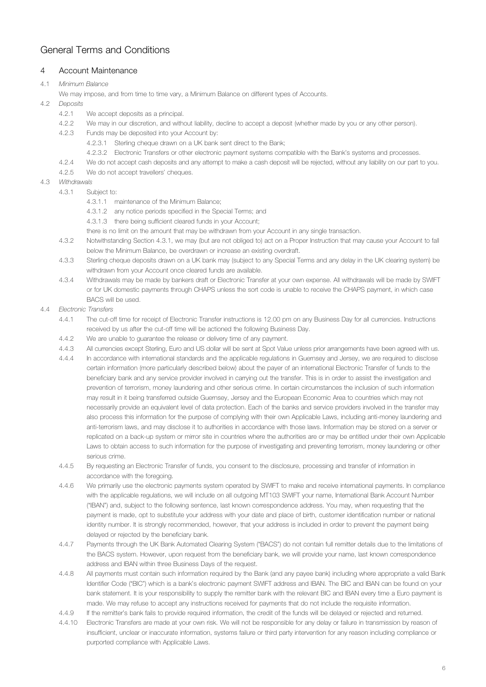## <span id="page-5-0"></span>4 Account Maintenance

# 4.1 *Minimum Balance*

- We may impose, and from time to time vary, a Minimum Balance on different types of Accounts.
- 4.2 *Deposits*
	- 4.2.1 We accept deposits as a principal.
	- 4.2.2 We may in our discretion, and without liability, decline to accept a deposit (whether made by you or any other person).
	- 4.2.3 Funds may be deposited into your Account by:
		- 4.2.3.1 Sterling cheque drawn on a UK bank sent direct to the Bank;
		- 4.2.3.2 Electronic Transfers or other electronic payment systems compatible with the Bank's systems and processes.
	- 4.2.4 We do not accept cash deposits and any attempt to make a cash deposit will be rejected, without any liability on our part to you.
	- 4.2.5 We do not accept travellers' cheques.
- 4.3 *Withdrawals*
	- 4.3.1 Subject to:
		- 4.3.1.1 maintenance of the Minimum Balance;
		- 4.3.1.2 any notice periods specified in the Special Terms; and
		- 4.3.1.3 there being sufficient cleared funds in your Account;
		- there is no limit on the amount that may be withdrawn from your Account in any single transaction.
		- 4.3.2 Notwithstanding Section 4.3.1, we may (but are not obliged to) act on a Proper Instruction that may cause your Account to fall below the Minimum Balance, be overdrawn or increase an existing overdraft.
		- 4.3.3 Sterling cheque deposits drawn on a UK bank may (subject to any Special Terms and any delay in the UK clearing system) be withdrawn from your Account once cleared funds are available.
		- 4.3.4 Withdrawals may be made by bankers draft or Electronic Transfer at your own expense. All withdrawals will be made by SWIFT or for UK domestic payments through CHAPS unless the sort code is unable to receive the CHAPS payment, in which case BACS will be used.
- 4.4 *Electronic Transfers*
	- 4.4.1 The cut-off time for receipt of Electronic Transfer instructions is 12.00 pm on any Business Day for all currencies. Instructions received by us after the cut-off time will be actioned the following Business Day.
	- 4.4.2 We are unable to guarantee the release or delivery time of any payment.
	- 4.4.3 All currencies except Sterling, Euro and US dollar will be sent at Spot Value unless prior arrangements have been agreed with us.
	- 4.4.4 In accordance with international standards and the applicable regulations in Guernsey and Jersey, we are required to disclose certain information (more particularly described below) about the payer of an international Electronic Transfer of funds to the beneficiary bank and any service provider involved in carrying out the transfer. This is in order to assist the investigation and prevention of terrorism, money laundering and other serious crime. In certain circumstances the inclusion of such information may result in it being transferred outside Guernsey, Jersey and the European Economic Area to countries which may not necessarily provide an equivalent level of data protection. Each of the banks and service providers involved in the transfer may also process this information for the purpose of complying with their own Applicable Laws, including anti-money laundering and anti-terrorism laws, and may disclose it to authorities in accordance with those laws. Information may be stored on a server or replicated on a back-up system or mirror site in countries where the authorities are or may be entitled under their own Applicable Laws to obtain access to such information for the purpose of investigating and preventing terrorism, money laundering or other serious crime.
	- 4.4.5 By requesting an Electronic Transfer of funds, you consent to the disclosure, processing and transfer of information in accordance with the foregoing.
	- 4.4.6 We primarily use the electronic payments system operated by SWIFT to make and receive international payments. In compliance with the applicable regulations, we will include on all outgoing MT103 SWIFT your name, International Bank Account Number ("IBAN") and, subject to the following sentence, last known correspondence address. You may, when requesting that the payment is made, opt to substitute your address with your date and place of birth, customer identification number or national identity number. It is strongly recommended, however, that your address is included in order to prevent the payment being delayed or rejected by the beneficiary bank.
	- 4.4.7 Payments through the UK Bank Automated Clearing System ("BACS") do not contain full remitter details due to the limitations of the BACS system. However, upon request from the beneficiary bank, we will provide your name, last known correspondence address and IBAN within three Business Days of the request.
	- 4.4.8 All payments must contain such information required by the Bank (and any payee bank) including where appropriate a valid Bank Identifier Code ("BIC") which is a bank's electronic payment SWIFT address and IBAN. The BIC and IBAN can be found on your bank statement. It is your responsibility to supply the remitter bank with the relevant BIC and IBAN every time a Euro payment is made. We may refuse to accept any instructions received for payments that do not include the requisite information.
	- 4.4.9 If the remitter's bank fails to provide required information, the credit of the funds will be delayed or rejected and returned.
	- 4.4.10 Electronic Transfers are made at your own risk. We will not be responsible for any delay or failure in transmission by reason of insufficient, unclear or inaccurate information, systems failure or third party intervention for any reason including compliance or purported compliance with Applicable Laws.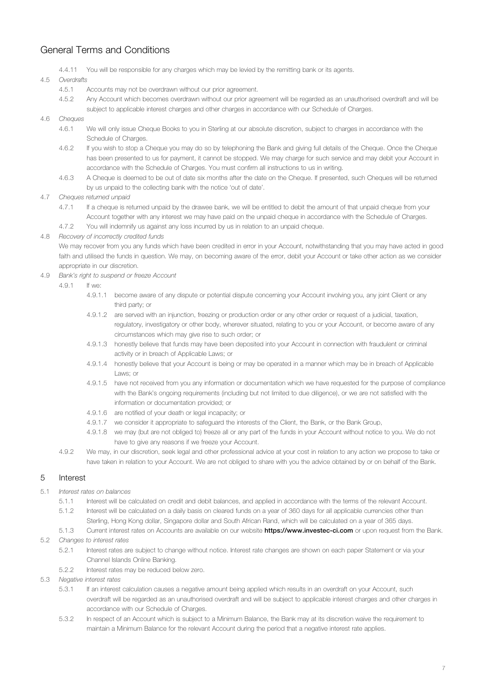<span id="page-6-0"></span>4.4.11 You will be responsible for any charges which may be levied by the remitting bank or its agents.

### 4.5 *Overdrafts*

- 4.5.1 Accounts may not be overdrawn without our prior agreement.
- 4.5.2 Any Account which becomes overdrawn without our prior agreement will be regarded as an unauthorised overdraft and will be subject to applicable interest charges and other charges in accordance with our Schedule of Charges.

### 4.6 *Cheques*

- 4.6.1 We will only issue Cheque Books to you in Sterling at our absolute discretion, subject to charges in accordance with the Schedule of Charges.
- 4.6.2 If you wish to stop a Cheque you may do so by telephoning the Bank and giving full details of the Cheque. Once the Cheque has been presented to us for payment, it cannot be stopped. We may charge for such service and may debit your Account in accordance with the Schedule of Charges. You must confirm all instructions to us in writing.
- 4.6.3 A Cheque is deemed to be out of date six months after the date on the Cheque. If presented, such Cheques will be returned by us unpaid to the collecting bank with the notice 'out of date'.

### 4.7 *Cheques returned unpaid*

- 4.7.1 If a cheque is returned unpaid by the drawee bank, we will be entitled to debit the amount of that unpaid cheque from your Account together with any interest we may have paid on the unpaid cheque in accordance with the Schedule of Charges.
- 4.7.2 You will indemnify us against any loss incurred by us in relation to an unpaid cheque.

### 4.8 *Recovery of incorrectly credited funds*

We may recover from you any funds which have been credited in error in your Account, notwithstanding that you may have acted in good faith and utilised the funds in question. We may, on becoming aware of the error, debit your Account or take other action as we consider appropriate in our discretion.

4.9 *Bank's right to suspend or freeze Account*

 $4.9.1$  If  $w^{\alpha}$ 

- 4.9.1.1 become aware of any dispute or potential dispute concerning your Account involving you, any joint Client or any third party; or
- 4.9.1.2 are served with an injunction, freezing or production order or any other order or request of a judicial, taxation, regulatory, investigatory or other body, wherever situated, relating to you or your Account, or become aware of any circumstances which may give rise to such order; or
- 4.9.1.3 honestly believe that funds may have been deposited into your Account in connection with fraudulent or criminal activity or in breach of Applicable Laws; or
- 4.9.1.4 honestly believe that your Account is being or may be operated in a manner which may be in breach of Applicable Laws; or
- 4.9.1.5 have not received from you any information or documentation which we have requested for the purpose of compliance with the Bank's ongoing requirements (including but not limited to due diligence), or we are not satisfied with the information or documentation provided; or
- 4.9.1.6 are notified of your death or legal incapacity; or
- 4.9.1.7 we consider it appropriate to safeguard the interests of the Client, the Bank, or the Bank Group,
- 4.9.1.8 we may (but are not obliged to) freeze all or any part of the funds in your Account without notice to you. We do not have to give any reasons if we freeze your Account.
- 4.9.2 We may, in our discretion, seek legal and other professional advice at your cost in relation to any action we propose to take or have taken in relation to your Account. We are not obliged to share with you the advice obtained by or on behalf of the Bank.

# 5 Interest

## 5.1 *Interest rates on balances*

- 5.1.1 Interest will be calculated on credit and debit balances, and applied in accordance with the terms of the relevant Account.
- 5.1.2 Interest will be calculated on a daily basis on cleared funds on a year of 360 days for all applicable currencies other than Sterling, Hong Kong dollar, Singapore dollar and South African Rand, which will be calculated on a year of 365 days.
- 5.1.3 Current interest rates on Accounts are available on our website [https://www.investec-ci.com](https://www.investec.com/en_chis/private-clients/banking.html) or upon request from the Bank.

## 5.2 *Changes to interest rates*

- 5.2.1 Interest rates are subject to change without notice. Interest rate changes are shown on each paper Statement or via your Channel Islands Online Banking.
- 5.2.2 Interest rates may be reduced below zero.
- 5.3 *Negative interest rates*
	- 5.3.1 If an interest calculation causes a negative amount being applied which results in an overdraft on your Account, such overdraft will be regarded as an unauthorised overdraft and will be subject to applicable interest charges and other charges in accordance with our Schedule of Charges.
	- 5.3.2 In respect of an Account which is subject to a Minimum Balance, the Bank may at its discretion waive the requirement to maintain a Minimum Balance for the relevant Account during the period that a negative interest rate applies.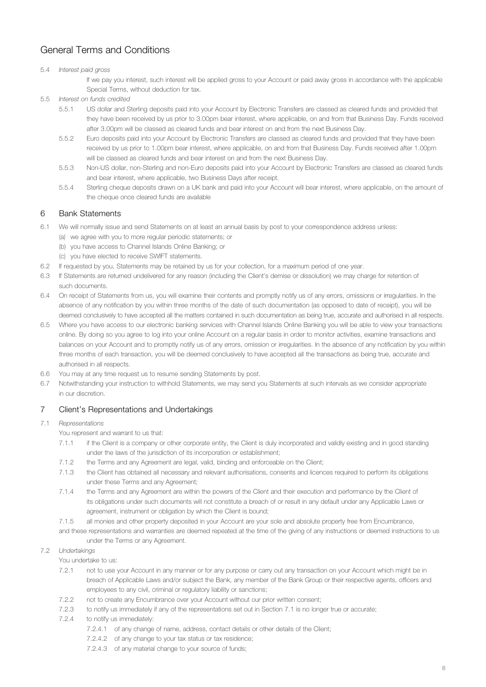### <span id="page-7-0"></span>5.4 *Interest paid gross*

If we pay you interest, such interest will be applied gross to your Account or paid away gross in accordance with the applicable Special Terms, without deduction for tax.

- 5.5 *Interest on funds credited*
	- 5.5.1 US dollar and Sterling deposits paid into your Account by Electronic Transfers are classed as cleared funds and provided that they have been received by us prior to 3.00pm bear interest, where applicable, on and from that Business Day. Funds received after 3.00pm will be classed as cleared funds and bear interest on and from the next Business Day.
	- 5.5.2 Euro deposits paid into your Account by Electronic Transfers are classed as cleared funds and provided that they have been received by us prior to 1.00pm bear interest, where applicable, on and from that Business Day. Funds received after 1.00pm will be classed as cleared funds and bear interest on and from the next Business Day.
	- 5.5.3 Non-US dollar, non-Sterling and non-Euro deposits paid into your Account by Electronic Transfers are classed as cleared funds and bear interest, where applicable, two Business Days after receipt.
	- 5.5.4 Sterling cheque deposits drawn on a UK bank and paid into your Account will bear interest, where applicable, on the amount of the cheque once cleared funds are available

## 6 Bank Statements

- 6.1 We will normally issue and send Statements on at least an annual basis by post to your correspondence address unless:
	- (a) we agree with you to more regular periodic statements; or
	- (b) you have access to Channel Islands Online Banking; or
	- (c) you have elected to receive SWIFT statements.
- 6.2 If requested by you, Statements may be retained by us for your collection, for a maximum period of one year.
- 6.3 If Statements are returned undelivered for any reason (including the Client's demise or dissolution) we may charge for retention of such documents.
- 6.4 On receipt of Statements from us, you will examine their contents and promptly notify us of any errors, omissions or irregularities. In the absence of any notification by you within three months of the date of such documentation (as opposed to date of receipt), you will be deemed conclusively to have accepted all the matters contained in such documentation as being true, accurate and authorised in all respects.
- 6.5 Where you have access to our electronic banking services with Channel Islands Online Banking you will be able to view your transactions online. By doing so you agree to log into your online Account on a regular basis in order to monitor activities, examine transactions and balances on your Account and to promptly notify us of any errors, omission or irregularities. In the absence of any notification by you within three months of each transaction, you will be deemed conclusively to have accepted all the transactions as being true, accurate and authorised in all respects.
- 6.6 You may at any time request us to resume sending Statements by post.
- 6.7 Notwithstanding your instruction to withhold Statements, we may send you Statements at such intervals as we consider appropriate in our discretion.

## 7 Client's Representations and Undertakings

#### 7.1 *Representations*

You represent and warrant to us that:

- 7.1.1 if the Client is a company or other corporate entity, the Client is duly incorporated and validly existing and in good standing under the laws of the jurisdiction of its incorporation or establishment;
- 7.1.2 the Terms and any Agreement are legal, valid, binding and enforceable on the Client;
- 7.1.3 the Client has obtained all necessary and relevant authorisations, consents and licences required to perform its obligations under these Terms and any Agreement;
- 7.1.4 the Terms and any Agreement are within the powers of the Client and their execution and performance by the Client of its obligations under such documents will not constitute a breach of or result in any default under any Applicable Laws or agreement, instrument or obligation by which the Client is bound;
- 7.1.5 all monies and other property deposited in your Account are your sole and absolute property free from Encumbrance,
- and these representations and warranties are deemed repeated at the time of the giving of any instructions or deemed instructions to us under the Terms or any Agreement.

### 7.2 *Undertakings*

You undertake to us:

- 7.2.1 not to use your Account in any manner or for any purpose or carry out any transaction on your Account which might be in breach of Applicable Laws and/or subject the Bank, any member of the Bank Group or their respective agents, officers and employees to any civil, criminal or regulatory liability or sanctions;
- 7.2.2 not to create any Encumbrance over your Account without our prior written consent;
- 7.2.3 to notify us immediately if any of the representations set out in Section 7.1 is no longer true or accurate;
- 7.2.4 to notify us immediately:
	- 7.2.4.1 of any change of name, address, contact details or other details of the Client;
		- 7.2.4.2 of any change to your tax status or tax residence;
		- 7.2.4.3 of any material change to your source of funds;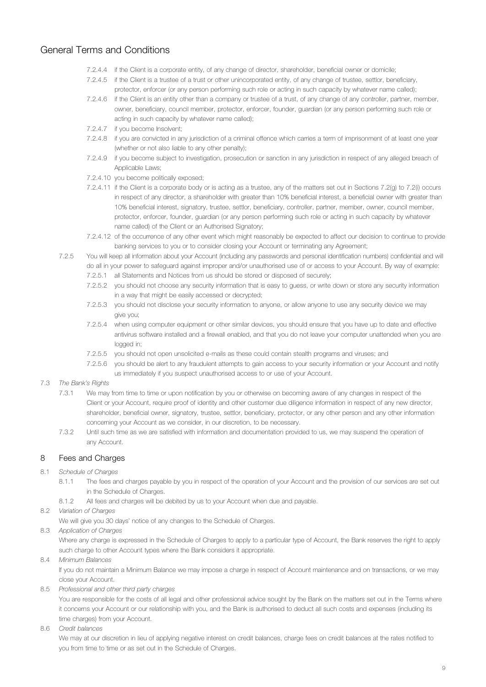- <span id="page-8-0"></span>7.2.4.4 if the Client is a corporate entity, of any change of director, shareholder, beneficial owner or domicile;
- 7.2.4.5 if the Client is a trustee of a trust or other unincorporated entity, of any change of trustee, settlor, beneficiary, protector, enforcer (or any person performing such role or acting in such capacity by whatever name called);
- 7.2.4.6 if the Client is an entity other than a company or trustee of a trust, of any change of any controller, partner, member, owner, beneficiary, council member, protector, enforcer, founder, guardian (or any person performing such role or acting in such capacity by whatever name called);
- 7.2.4.7 if you become Insolvent;
- 7.2.4.8 if you are convicted in any jurisdiction of a criminal offence which carries a term of imprisonment of at least one year (whether or not also liable to any other penalty);
- 7.2.4.9 if you become subject to investigation, prosecution or sanction in any jurisdiction in respect of any alleged breach of Applicable Laws;
- 7.2.4.10 you become politically exposed;
- 7.2.4.11 if the Client is a corporate body or is acting as a trustee, any of the matters set out in Sections 7.2(g) to 7.2(i) occurs in respect of any director, a shareholder with greater than 10% beneficial interest, a beneficial owner with greater than 10% beneficial interest, signatory, trustee, settlor, beneficiary, controller, partner, member, owner, council member, protector, enforcer, founder, guardian (or any person performing such role or acting in such capacity by whatever name called) of the Client or an Authorised Signatory;
- 7.2.4.12 of the occurrence of any other event which might reasonably be expected to affect our decision to continue to provide banking services to you or to consider closing your Account or terminating any Agreement;
- 7.2.5 You will keep all information about your Account (including any passwords and personal identification numbers) confidential and will
	- do all in your power to safeguard against improper and/or unauthorised use of or access to your Account. By way of example:
		- 7.2.5.1 all Statements and Notices from us should be stored or disposed of securely;
		- 7.2.5.2 you should not choose any security information that is easy to guess, or write down or store any security information in a way that might be easily accessed or decrypted;
		- 7.2.5.3 you should not disclose your security information to anyone, or allow anyone to use any security device we may give you;
		- 7.2.5.4 when using computer equipment or other similar devices, you should ensure that you have up to date and effective antivirus software installed and a firewall enabled, and that you do not leave your computer unattended when you are logged in;
		- 7.2.5.5 you should not open unsolicited e-mails as these could contain stealth programs and viruses; and
		- 7.2.5.6 you should be alert to any fraudulent attempts to gain access to your security information or your Account and notify us immediately if you suspect unauthorised access to or use of your Account.

## 7.3 *The Bank's Rights*

- 7.3.1 We may from time to time or upon notification by you or otherwise on becoming aware of any changes in respect of the Client or your Account, require proof of identity and other customer due diligence information in respect of any new director, shareholder, beneficial owner, signatory, trustee, settlor, beneficiary, protector, or any other person and any other information concerning your Account as we consider, in our discretion, to be necessary.
- 7.3.2 Until such time as we are satisfied with information and documentation provided to us, we may suspend the operation of any Account.

# 8 Fees and Charges

- 8.1 *Schedule of Charges*
	- 8.1.1 The fees and charges payable by you in respect of the operation of your Account and the provision of our services are set out in the Schedule of Charges.
	- 8.1.2 All fees and charges will be debited by us to your Account when due and payable.
- 8.2 *Variation of Charges*

We will give you 30 days' notice of any changes to the Schedule of Charges.

8.3 *Application of Charges*

Where any charge is expressed in the Schedule of Charges to apply to a particular type of Account, the Bank reserves the right to apply such charge to other Account types where the Bank considers it appropriate.

8.4 *Minimum Balances*

If you do not maintain a Minimum Balance we may impose a charge in respect of Account maintenance and on transactions, or we may close your Account.

8.5 *Professional and other third party charges*

You are responsible for the costs of all legal and other professional advice sought by the Bank on the matters set out in the Terms where it concerns your Account or our relationship with you, and the Bank is authorised to deduct all such costs and expenses (including its time charges) from your Account.

8.6 *Credit balances*

We may at our discretion in lieu of applying negative interest on credit balances, charge fees on credit balances at the rates notified to you from time to time or as set out in the Schedule of Charges.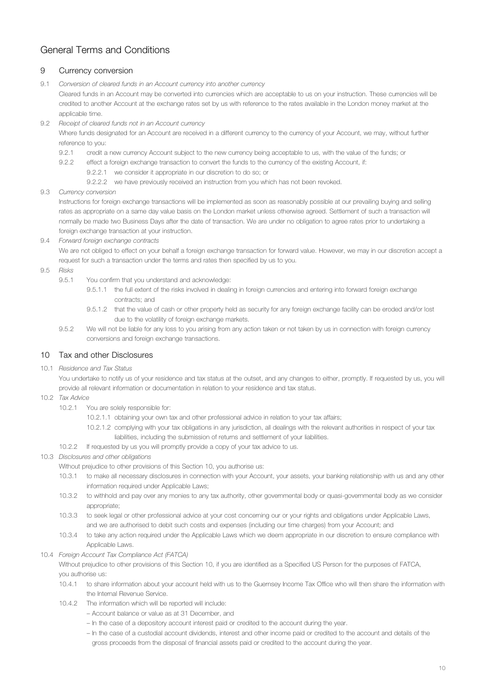# <span id="page-9-0"></span>9 Currency conversion

9.1 *Conversion of cleared funds in an Account currency into another currency*

Cleared funds in an Account may be converted into currencies which are acceptable to us on your instruction. These currencies will be credited to another Account at the exchange rates set by us with reference to the rates available in the London money market at the applicable time.

9.2 *Receipt of cleared funds not in an Account currency*

Where funds designated for an Account are received in a different currency to the currency of your Account, we may, without further reference to you:

- 9.2.1 credit a new currency Account subject to the new currency being acceptable to us, with the value of the funds; or
- 9.2.2 effect a foreign exchange transaction to convert the funds to the currency of the existing Account, if:
	- 9.2.2.1 we consider it appropriate in our discretion to do so; or
	- 9.2.2.2 we have previously received an instruction from you which has not been revoked.

### 9.3 *Currency conversion*

Instructions for foreign exchange transactions will be implemented as soon as reasonably possible at our prevailing buying and selling rates as appropriate on a same day value basis on the London market unless otherwise agreed. Settlement of such a transaction will normally be made two Business Days after the date of transaction. We are under no obligation to agree rates prior to undertaking a foreign exchange transaction at your instruction.

9.4 *Forward foreign exchange contracts*

We are not obliged to effect on your behalf a foreign exchange transaction for forward value. However, we may in our discretion accept a request for such a transaction under the terms and rates then specified by us to you.

- 9.5 *Risks*
	- 9.5.1 You confirm that you understand and acknowledge:
		- 9.5.1.1 the full extent of the risks involved in dealing in foreign currencies and entering into forward foreign exchange contracts; and
		- 9.5.1.2 that the value of cash or other property held as security for any foreign exchange facility can be eroded and/or lost due to the volatility of foreign exchange markets.
	- 9.5.2 We will not be liable for any loss to you arising from any action taken or not taken by us in connection with foreign currency conversions and foreign exchange transactions.

## 10 Tax and other Disclosures

10.1 *Residence and Tax Status*

You undertake to notify us of your residence and tax status at the outset, and any changes to either, promptly, If requested by us, you will provide all relevant information or documentation in relation to your residence and tax status.

- 10.2 *Tax Advice*
	- 10.2.1 You are solely responsible for:
		- 10.2.1.1 obtaining your own tax and other professional advice in relation to your tax affairs;
		- 10.2.1.2 complying with your tax obligations in any jurisdiction, all dealings with the relevant authorities in respect of your tax liabilities, including the submission of returns and settlement of your liabilities.
	- 10.2.2 If requested by us you will promptly provide a copy of your tax advice to us.

## 10.3 *Disclosures and other obligations*

Without prejudice to other provisions of this Section 10, you authorise us:

- 10.3.1 to make all necessary disclosures in connection with your Account, your assets, your banking relationship with us and any other information required under Applicable Laws;
- 10.3.2 to withhold and pay over any monies to any tax authority, other governmental body or quasi-governmental body as we consider appropriate;
- 10.3.3 to seek legal or other professional advice at your cost concerning our or your rights and obligations under Applicable Laws, and we are authorised to debit such costs and expenses (including our time charges) from your Account; and
- 10.3.4 to take any action required under the Applicable Laws which we deem appropriate in our discretion to ensure compliance with Applicable Laws.
- 10.4 *Foreign Account Tax Compliance Act (FATCA)*

Without prejudice to other provisions of this Section 10, if you are identified as a Specified US Person for the purposes of FATCA, you authorise us:

- 10.4.1 to share information about your account held with us to the Guernsey Income Tax Office who will then share the information with the Internal Revenue Service.
- 10.4.2 The information which will be reported will include:
	- Account balance or value as at 31 December, and
	- In the case of a depository account interest paid or credited to the account during the year.
	- In the case of a custodial account dividends, interest and other income paid or credited to the account and details of the gross proceeds from the disposal of financial assets paid or credited to the account during the year.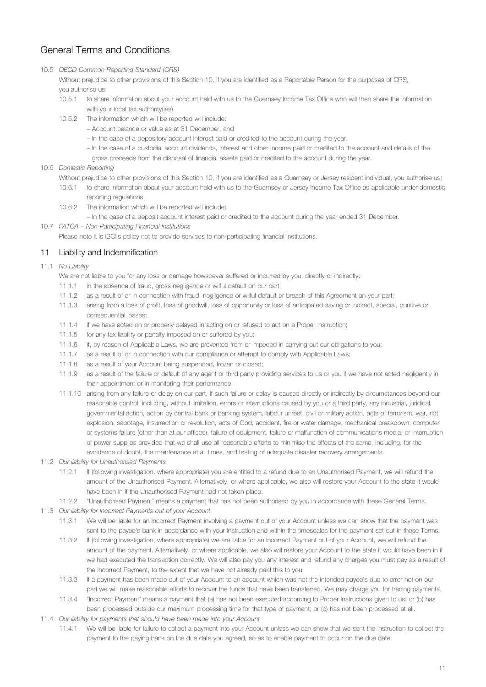## <span id="page-10-0"></span>10.5 *OECD Common Reporting Standard (CRS)*

Without prejudice to other provisions of this Section 10, if you are identified as a Reportable Person for the purposes of CRS, you authorise us:

- 10.5.1 to share information about your account held with us to the Guernsey Income Tax Office who will then share the information with your local tax authority(ies)
- 10.5.2 The information which will be reported will include:
	- Account balance or value as at 31 December, and
	- In the case of a depository account interest paid or credited to the account during the year.
	- In the case of a custodial account dividends, interest and other income paid or credited to the account and details of the
	- gross proceeds from the disposal of financial assets paid or credited to the account during the year.
- 10.6 *Domestic Reporting*

Without prejudice to other provisions of this Section 10, if you are identified as a Guernsey or Jersey resident individual, you authorise us:

- 10.6.1 to share information about your account held with us to the Guernsey or Jersey Income Tax Office as applicable under domestic reporting regulations.
- 10.6.2 The information which will be reported will include:
	- In the case of a deposit account interest paid or credited to the account during the year ended 31 December.
- 10.7 *FATCA Non-Participating Financial Institutions*

Please note it is IBCI's policy not to provide services to non-participating financial institutions.

# 11 Liability and Indemnification

11.1 *No Liability*

We are not liable to you for any loss or damage howsoever suffered or incurred by you, directly or indirectly:

- 11.1.1 in the absence of fraud, gross negligence or wilful default on our part;
- 11.1.2 as a result of or in connection with fraud, negligence or wilful default or breach of this Agreement on your part;
- 11.1.3 arising from a loss of profit, loss of goodwill, loss of opportunity or loss of anticipated saving or indirect, special, punitive or consequential losses;
- 11.1.4 if we have acted on or properly delayed in acting on or refused to act on a Proper Instruction;
- 11.1.5 for any tax liability or penalty imposed on or suffered by you;
- 11.1.6 if, by reason of Applicable Laws, we are prevented from or impeded in carrying out our obligations to you;
- 11.1.7 as a result of or in connection with our compliance or attempt to comply with Applicable Laws;
- 11.1.8 as a result of your Account being suspended, frozen or closed;
- 11.1.9 as a result of the failure or default of any agent or third party providing services to us or you if we have not acted negligently in their appointment or in monitoring their performance;
- 11.1.10 arising from any failure or delay on our part, if such failure or delay is caused directly or indirectly by circumstances beyond our reasonable control, including, without limitation, errors or interruptions caused by you or a third party, any industrial, juridical, governmental action, action by central bank or banking system, labour unrest, civil or military action, acts of terrorism, war, riot, explosion, sabotage, insurrection or revolution, acts of God, accident, fire or water damage, mechanical breakdown, computer or systems failure (other than at our offices), failure of equipment, failure or malfunction of communications media, or interruption of power supplies provided that we shall use all reasonable efforts to minimise the effects of the same, including, for the avoidance of doubt, the maintenance at all times, and testing of adequate disaster recovery arrangements.
- 11.2 *Our liability for Unauthorised Payments*
	- 11.2.1 If (following investigation, where appropriate) you are entitled to a refund due to an Unauthorised Payment, we will refund the amount of the Unauthorised Payment. Alternatively, or where applicable, we also will restore your Account to the state it would have been in if the Unauthorised Payment had not taken place.
- 11.2.2 "Unauthorised Payment" means a payment that has not been authorised by you in accordance with these General Terms.
- 11.3 *Our liability for Incorrect Payments out of your Account*
	- 11.3.1 We will be liable for an Incorrect Payment involving a payment out of your Account unless we can show that the payment was sent to the payee's bank in accordance with your instruction and within the timescales for the payment set out in these Terms.
	- 11.3.2 If (following investigation, where appropriate) we are liable for an Incorrect Payment out of your Account, we will refund the amount of the payment. Alternatively, or where applicable, we also will restore your Account to the state it would have been in if we had executed the transaction correctly. We will also pay you any interest and refund any charges you must pay as a result of the Incorrect Payment, to the extent that we have not already paid this to you.
	- 11.3.3 If a payment has been made out of your Account to an account which was not the intended payee's due to error not on our part we will make reasonable efforts to recover the funds that have been transferred. We may charge you for tracing payments.
	- 11.3.4 "Incorrect Payment" means a payment that (a) has not been executed according to Proper Instructions given to us; or (b) has been processed outside our maximum processing time for that type of payment; or (c) has not been processed at all.
- 11.4 *Our liability for payments that should have been made into your Account*
	- 11.4.1 We will be liable for failure to collect a payment into your Account unless we can show that we sent the instruction to collect the payment to the paying bank on the due date you agreed, so as to enable payment to occur on the due date.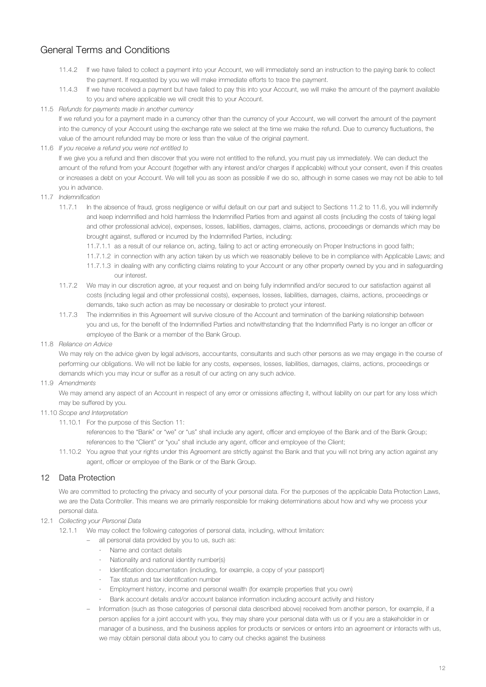- <span id="page-11-0"></span>11.4.2 If we have failed to collect a payment into your Account, we will immediately send an instruction to the paying bank to collect the payment. If requested by you we will make immediate efforts to trace the payment.
- 11.4.3 If we have received a payment but have failed to pay this into your Account, we will make the amount of the payment available to you and where applicable we will credit this to your Account.

### 11.5 *Refunds for payments made in another currency*

If we refund you for a payment made in a currency other than the currency of your Account, we will convert the amount of the payment into the currency of your Account using the exchange rate we select at the time we make the refund. Due to currency fluctuations, the value of the amount refunded may be more or less than the value of the original payment.

### 11.6 *If you receive a refund you were not entitled to*

If we give you a refund and then discover that you were not entitled to the refund, you must pay us immediately. We can deduct the amount of the refund from your Account (together with any interest and/or charges if applicable) without your consent, even if this creates or increases a debt on your Account. We will tell you as soon as possible if we do so, although in some cases we may not be able to tell you in advance.

- 11.7 *Indemnification*
	- 11.7.1 In the absence of fraud, gross negligence or wilful default on our part and subject to Sections 11.2 to 11.6, you will indemnify and keep indemnified and hold harmless the Indemnified Parties from and against all costs (including the costs of taking legal and other professional advice), expenses, losses, liabilities, damages, claims, actions, proceedings or demands which may be brought against, suffered or incurred by the Indemnified Parties, including:
		- 11.7.1.1 as a result of our reliance on, acting, failing to act or acting erroneously on Proper Instructions in good faith;
		- 11.7.1.2 in connection with any action taken by us which we reasonably believe to be in compliance with Applicable Laws; and
		- 11.7.1.3 in dealing with any conflicting claims relating to your Account or any other property owned by you and in safeguarding our interest.
	- 11.7.2 We may in our discretion agree, at your request and on being fully indemnified and/or secured to our satisfaction against all costs (including legal and other professional costs), expenses, losses, liabilities, damages, claims, actions, proceedings or demands, take such action as may be necessary or desirable to protect your interest.
	- 11.7.3 The indemnities in this Agreement will survive closure of the Account and termination of the banking relationship between you and us, for the benefit of the Indemnified Parties and notwithstanding that the Indemnified Party is no longer an officer or employee of the Bank or a member of the Bank Group.
- 11.8 *Reliance on Advice*

We may rely on the advice given by legal advisors, accountants, consultants and such other persons as we may engage in the course of performing our obligations. We will not be liable for any costs, expenses, losses, liabilities, damages, claims, actions, proceedings or demands which you may incur or suffer as a result of our acting on any such advice.

11.9 *Amendments*

We may amend any aspect of an Account in respect of any error or omissions affecting it, without liability on our part for any loss which may be suffered by you.

- 11.10 *Scope and Interpretation*
	- 11.10.1 For the purpose of this Section 11:

references to the "Bank" or "we" or "us" shall include any agent, officer and employee of the Bank and of the Bank Group; references to the "Client" or "you" shall include any agent, officer and employee of the Client;

11.10.2 You agree that your rights under this Agreement are strictly against the Bank and that you will not bring any action against any agent, officer or employee of the Bank or of the Bank Group.

# 12 Data Protection

We are committed to protecting the privacy and security of your personal data. For the purposes of the applicable Data Protection Laws, we are the Data Controller. This means we are primarily responsible for making determinations about how and why we process your personal data.

- 12.1 *Collecting your Personal Data*
	- 12.1.1 We may collect the following categories of personal data, including, without limitation:
		- all personal data provided by you to us, such as:
			- Name and contact details
			- · Nationality and national identity number(s)
			- · Identification documentation (including, for example, a copy of your passport)
			- · Tax status and tax identification number
			- · Employment history, income and personal wealth (for example properties that you own)
			- Bank account details and/or account balance information including account activity and history
		- Information (such as those categories of personal data described above) received from another person, for example, if a person applies for a joint account with you, they may share your personal data with us or if you are a stakeholder in or manager of a business, and the business applies for products or services or enters into an agreement or interacts with us, we may obtain personal data about you to carry out checks against the business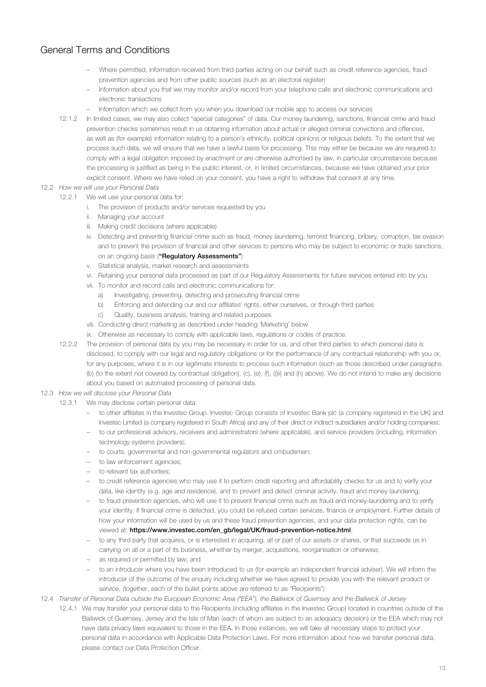- Where permitted, information received from third parties acting on our behalf such as credit reference agencies, fraud prevention agencies and from other public sources (such as an electoral register)
- Information about you that we may monitor and/or record from your telephone calls and electronic communications and electronic transactions
- Information which we collect from you when you download our mobile app to access our services
- 12.1.2 In limited cases, we may also collect "special categories" of data. Our money laundering, sanctions, financial crime and fraud prevention checks sometimes result in us obtaining information about actual or alleged criminal convictions and offences, as well as (for example) information relating to a person's ethnicity, political opinions or religious beliefs. To the extent that we process such data, we will ensure that we have a lawful basis for processing. This may either be because we are required to comply with a legal obligation imposed by enactment or are otherwise authorised by law, in particular circumstances because the processing is justified as being in the public interest, or, in limited circumstances, because we have obtained your prior explicit consent. Where we have relied on your consent, you have a right to withdraw that consent at any time.
- 12.2 *How we will use your Personal Data*
	- 12.2.1 We will use your personal data for:
		- i. The provision of products and/or services requested by you
		- ii. Managing your account
		- iii. Making credit decisions (where applicable)
		- iv. Detecting and preventing financial crime such as fraud, money laundering, terrorist financing, bribery, corruption, tax evasion and to prevent the provision of financial and other services to persons who may be subject to economic or trade sanctions, on an ongoing basis ("Regulatory Assessments")
		- v. Statistical analysis, market research and assessments
		- vi. Retaining your personal data processed as part of our Regulatory Assessments for future services entered into by you
		- vii. To monitor and record calls and electronic communications for:
			- a) Investigating, preventing, detecting and prosecuting financial crime
			- b) Enforcing and defending our and our affiliates' rights, either ourselves, or through third parties
			- c) Quality, business analysis, training and related purposes
		- viii. Conducting direct marketing as described under heading 'Marketing' below
		- ix. Otherwise as necessary to comply with applicable laws, regulations or codes of practice.
	- 12.2.2 The provision of personal data by you may be necessary in order for us, and other third parties to which personal data is disclosed, to comply with our legal and regulatory obligations or for the performance of any contractual relationship with you or, for any purposes, where it is in our legitimate interests to process such information (such as those described under paragraphs (b) (to the extent not covered by contractual obligation), (c), (e), (f), ((iii) and (h) above). We do not intend to make any decisions about you based on automated processing of personal data.
- 12.3 *How we will disclose your Personal Data*
	- 12.3.1 We may disclose certain personal data:
		- to other affiliates in the Investec Group. Investec Group consists of Investec Bank plc (a company registered in the UK) and Investec Limited (a company registered in South Africa) and any of their direct or indirect subsidiaries and/or holding companies;
		- to our professional advisors, receivers and administrators (where applicable), and service providers (including, information technology systems providers);
		- to courts, governmental and non-governmental regulators and ombudsmen;
		- to law enforcement agencies;
		- to relevant tax authorities;
		- to credit reference agencies who may use it to perform credit reporting and affordability checks for us and to verify your data, like identity (e.g. age and residence), and to prevent and detect criminal activity, fraud and money laundering;
		- to fraud prevention agencies, who will use it to prevent financial crime such as fraud and money-laundering and to verify your identity. If financial crime is detected, you could be refused certain services, finance or employment. Further details of how your information will be used by us and these fraud prevention agencies, and your data protection rights, can be viewed at: https://www.investec.com/en\_gb/legal/UK/fraud-prevention-notice.html;
		- to any third party that acquires, or is interested in acquiring, all or part of our assets or shares, or that succeeds us in carrying on all or a part of its business, whether by merger, acquisitions, reorganisation or otherwise;
		- as required or permitted by law; and
		- to an introducer where you have been introduced to us (for example an independent financial adviser). We will inform the introducer of the outcome of the enquiry including whether we have agreed to provide you with the relevant product or service, (together, each of the bullet points above are referred to as "Recipients").
- 12.4 *Transfer of Personal Data outside the European Economic Area ("EEA"), the Bailiwick of Guernsey and the Bailiwick of Jersey*
	- 12.4.1 We may transfer your personal data to the Recipients (including affiliates in the Investec Group) located in countries outside of the Bailiwick of Guernsey, Jersey and the Isle of Man (each of whom are subject to an adequacy decision) or the EEA which may not have data privacy laws equivalent to those in the EEA. In those instances, we will take all necessary steps to protect your personal data in accordance with Applicable Data Protection Laws. For more information about how we transfer personal data, please contact our Data Protection Officer.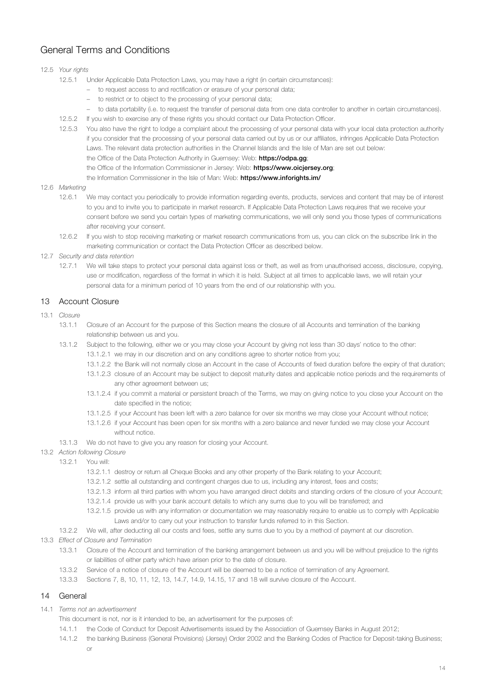## <span id="page-13-0"></span>12.5 *Your rights*

- 12.5.1 Under Applicable Data Protection Laws, you may have a right (in certain circumstances):
	- to request access to and rectification or erasure of your personal data;
	- to restrict or to object to the processing of your personal data;
	- to data portability (i.e. to request the transfer of personal data from one data controller to another in certain circumstances).
- 12.5.2 If you wish to exercise any of these rights you should contact our Data Protection Officer.
- 12.5.3 You also have the right to lodge a complaint about the processing of your personal data with your local data protection authority if you consider that the processing of your personal data carried out by us or our affiliates, infringes Applicable Data Protection Laws. The relevant data protection authorities in the Channel Islands and the Isle of Man are set out below: the Office of the Data Protection Authority in Guernsey: Web: https://odpa.gg; the Office of the Information Commissioner in Jersey: Web: https://www.oiciersey.org;
	- the Information Commissioner in the Isle of Man: Web: https://www.inforights.im/

#### 12.6 *Marketing*

- 12.6.1 We may contact you periodically to provide information regarding events, products, services and content that may be of interest to you and to invite you to participate in market research. If Applicable Data Protection Laws requires that we receive your consent before we send you certain types of marketing communications, we will only send you those types of communications after receiving your consent.
- 12.6.2 If you wish to stop receiving marketing or market research communications from us, you can click on the subscribe link in the marketing communication or contact the Data Protection Officer as described below.
- 12.7 *Security and data retention*
	- 12.7.1 We will take steps to protect your personal data against loss or theft, as well as from unauthorised access, disclosure, copying, use or modification, regardless of the format in which it is held. Subject at all times to applicable laws, we will retain your personal data for a minimum period of 10 years from the end of our relationship with you.

## 13 Account Closure

### 13.1 *Closure*

- 13.1.1 Closure of an Account for the purpose of this Section means the closure of all Accounts and termination of the banking relationship between us and you.
	- 13.1.2 Subject to the following, either we or you may close your Account by giving not less than 30 days' notice to the other: 13.1.2.1 we may in our discretion and on any conditions agree to shorter notice from you;
		- 13.1.2.2 the Bank will not normally close an Account in the case of Accounts of fixed duration before the expiry of that duration;
		- 13.1.2.3 closure of an Account may be subject to deposit maturity dates and applicable notice periods and the requirements of any other agreement between us;
		- 13.1.2.4 if you commit a material or persistent breach of the Terms, we may on giving notice to you close your Account on the date specified in the notice;
		- 13.1.2.5 if your Account has been left with a zero balance for over six months we may close your Account without notice;
		- 13.1.2.6 if your Account has been open for six months with a zero balance and never funded we may close your Account without notice.
	- 13.1.3 We do not have to give you any reason for closing your Account.

#### 13.2 *Action following Closure*

- 13.2.1 You will:
	- 13.2.1.1 destroy or return all Cheque Books and any other property of the Bank relating to your Account;
	- 13.2.1.2 settle all outstanding and contingent charges due to us, including any interest, fees and costs;
	- 13.2.1.3 inform all third parties with whom you have arranged direct debits and standing orders of the closure of your Account;
	- 13.2.1.4 provide us with your bank account details to which any sums due to you will be transferred; and
	- 13.2.1.5 provide us with any information or documentation we may reasonably require to enable us to comply with Applicable Laws and/or to carry out your instruction to transfer funds referred to in this Section.
- 13.2.2 We will, after deducting all our costs and fees, settle any sums due to you by a method of payment at our discretion.
- 13.3 *Effect of Closure and Termination*
	- 13.3.1 Closure of the Account and termination of the banking arrangement between us and you will be without prejudice to the rights or liabilities of either party which have arisen prior to the date of closure.
	- 13.3.2 Service of a notice of closure of the Account will be deemed to be a notice of termination of any Agreement.
	- 13.3.3 Sections 7, 8, 10, 11, 12, 13, 14.7, 14.9, 14.15, 17 and 18 will survive closure of the Account.

## 14 General

14.1 *Terms not an advertisement*

This document is not, nor is it intended to be, an advertisement for the purposes of:

- 14.1.1 the Code of Conduct for Deposit Advertisements issued by the Association of Guernsey Banks in August 2012;
- 14.1.2 the banking Business (General Provisions) (Jersey) Order 2002 and the Banking Codes of Practice for Deposit-taking Business;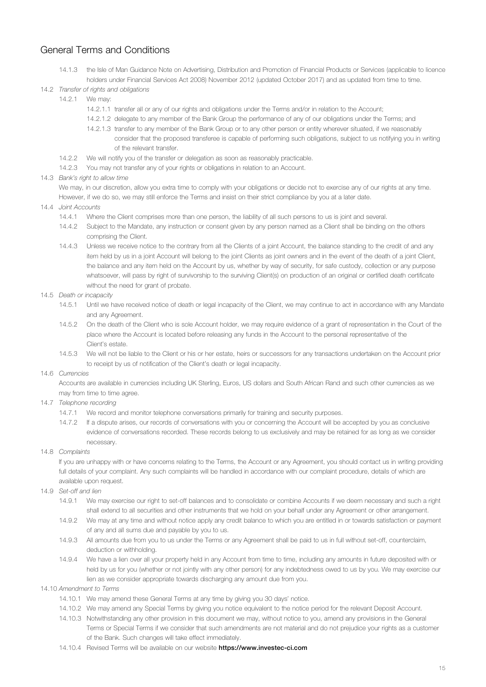- 14.1.3 the Isle of Man Guidance Note on Advertising, Distribution and Promotion of Financial Products or Services (applicable to licence holders under Financial Services Act 2008) November 2012 (updated October 2017) and as updated from time to time.
- 14.2 *Transfer of rights and obligations*
	- 14.2.1 We may:
		- 14.2.1.1 transfer all or any of our rights and obligations under the Terms and/or in relation to the Account;
		- 14.2.1.2 delegate to any member of the Bank Group the performance of any of our obligations under the Terms; and
		- 14.2.1.3 transfer to any member of the Bank Group or to any other person or entity wherever situated, if we reasonably consider that the proposed transferee is capable of performing such obligations, subject to us notifying you in writing of the relevant transfer.
	- 14.2.2 We will notify you of the transfer or delegation as soon as reasonably practicable.
	- 14.2.3 You may not transfer any of your rights or obligations in relation to an Account.
- 14.3 *Bank's right to allow time*

We may, in our discretion, allow you extra time to comply with your obligations or decide not to exercise any of our rights at any time. However, if we do so, we may still enforce the Terms and insist on their strict compliance by you at a later date.

- 14.4 *Joint Accounts*
	- 14.4.1 Where the Client comprises more than one person, the liability of all such persons to us is joint and several.
	- 14.4.2 Subject to the Mandate, any instruction or consent given by any person named as a Client shall be binding on the others comprising the Client.
	- 14.4.3 Unless we receive notice to the contrary from all the Clients of a joint Account, the balance standing to the credit of and any item held by us in a joint Account will belong to the joint Clients as joint owners and in the event of the death of a joint Client, the balance and any item held on the Account by us, whether by way of security, for safe custody, collection or any purpose whatsoever, will pass by right of survivorship to the surviving Client(s) on production of an original or certified death certificate without the need for grant of probate.
- 14.5 *Death or incapacity*
	- 14.5.1 Until we have received notice of death or legal incapacity of the Client, we may continue to act in accordance with any Mandate and any Agreement.
	- 14.5.2 On the death of the Client who is sole Account holder, we may require evidence of a grant of representation in the Court of the place where the Account is located before releasing any funds in the Account to the personal representative of the Client's estate.
	- 14.5.3 We will not be liable to the Client or his or her estate, heirs or successors for any transactions undertaken on the Account prior to receipt by us of notification of the Client's death or legal incapacity.
- 14.6 *Currencies*

Accounts are available in currencies including UK Sterling, Euros, US dollars and South African Rand and such other currencies as we may from time to time agree.

- 14.7 *Telephone recording*
	- 14.7.1 We record and monitor telephone conversations primarily for training and security purposes.
	- 14.7.2 If a dispute arises, our records of conversations with you or concerning the Account will be accepted by you as conclusive evidence of conversations recorded. These records belong to us exclusively and may be retained for as long as we consider necessary.
- 14.8 *Complaints*

If you are unhappy with or have concerns relating to the Terms, the Account or any Agreement, you should contact us in writing providing full details of your complaint. Any such complaints will be handled in accordance with our complaint procedure, details of which are available upon request.

- 14.9 *Set-off and lien*
	- 14.9.1 We may exercise our right to set-off balances and to consolidate or combine Accounts if we deem necessary and such a right shall extend to all securities and other instruments that we hold on your behalf under any Agreement or other arrangement.
	- 14.9.2 We may at any time and without notice apply any credit balance to which you are entitled in or towards satisfaction or payment of any and all sums due and payable by you to us.
	- 14.9.3 All amounts due from you to us under the Terms or any Agreement shall be paid to us in full without set-off, counterclaim, deduction or withholding.
	- 14.9.4 We have a lien over all your property held in any Account from time to time, including any amounts in future deposited with or held by us for you (whether or not jointly with any other person) for any indebtedness owed to us by you. We may exercise our lien as we consider appropriate towards discharging any amount due from you.
- 14.10 *Amendment to Terms*
	- 14.10.1 We may amend these General Terms at any time by giving you 30 days' notice.
	- 14.10.2 We may amend any Special Terms by giving you notice equivalent to the notice period for the relevant Deposit Account.
	- 14.10.3 Notwithstanding any other provision in this document we may, without notice to you, amend any provisions in the General Terms or Special Terms if we consider that such amendments are not material and do not prejudice your rights as a customer of the Bank. Such changes will take effect immediately.
	- 14.10.4 Revised Terms will be available on our website [https://www.investec-ci.com](https://www.investec.com/en_chis/legal/chis.html)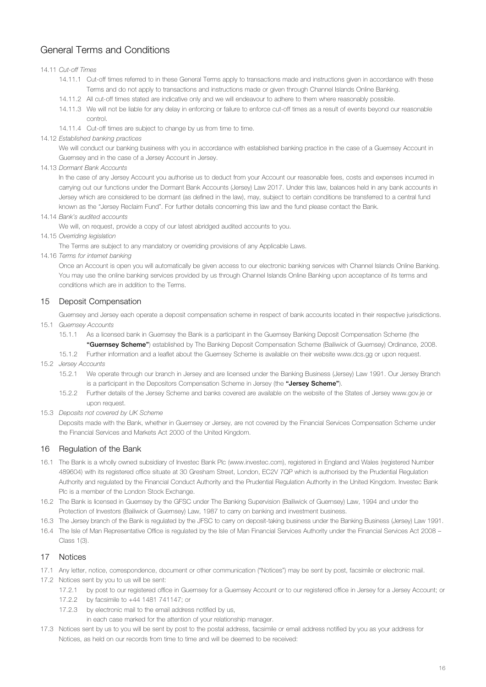### <span id="page-15-0"></span>14.11 *Cut-off Times*

- 14.11.1 Cut-off times referred to in these General Terms apply to transactions made and instructions given in accordance with these Terms and do not apply to transactions and instructions made or given through Channel Islands Online Banking.
- 14.11.2 All cut-off times stated are indicative only and we will endeavour to adhere to them where reasonably possible.
- 14.11.3 We will not be liable for any delay in enforcing or failure to enforce cut-off times as a result of events beyond our reasonable control.
- 14.11.4 Cut-off times are subject to change by us from time to time.
- 14.12 *Established banking practices*

We will conduct our banking business with you in accordance with established banking practice in the case of a Guernsey Account in Guernsey and in the case of a Jersey Account in Jersey.

14.13 *Dormant Bank Accounts*

In the case of any Jersey Account you authorise us to deduct from your Account our reasonable fees, costs and expenses incurred in carrying out our functions under the Dormant Bank Accounts (Jersey) Law 2017. Under this law, balances held in any bank accounts in Jersey which are considered to be dormant (as defined in the law), may, subject to certain conditions be transferred to a central fund known as the "Jersey Reclaim Fund". For further details concerning this law and the fund please contact the Bank.

14.14 *Bank's audited accounts*

We will, on request, provide a copy of our latest abridged audited accounts to you.

14.15 *Overriding legislation*

The Terms are subject to any mandatory or overriding provisions of any Applicable Laws.

14.16 *Terms for internet banking*

Once an Account is open you will automatically be given access to our electronic banking services with Channel Islands Online Banking. You may use the online banking services provided by us through Channel Islands Online Banking upon acceptance of its terms and conditions which are in addition to the Terms.

### 15 Deposit Compensation

Guernsey and Jersey each operate a deposit compensation scheme in respect of bank accounts located in their respective jurisdictions. 15.1 *Guernsey Accounts*

15.1.1 As a licensed bank in Guernsey the Bank is a participant in the Guernsey Banking Deposit Compensation Scheme (the "Guernsey Scheme") established by The Banking Deposit Compensation Scheme (Bailiwick of Guernsey) Ordinance, 2008.

15.1.2 Further information and a leaflet about the Guernsey Scheme is available on their website www.dcs.gg or upon request.

- 15.2 *Jersey Accounts*
	- 15.2.1 We operate through our branch in Jersey and are licensed under the Banking Business (Jersey) Law 1991. Our Jersey Branch is a participant in the Depositors Compensation Scheme in Jersey (the "Jersey Scheme").
	- 15.2.2 Further details of the Jersey Scheme and banks covered are available on the website of the States of Jersey www.gov.je or upon request.
- 15.3 *Deposits not covered by UK Scheme*

Deposits made with the Bank, whether in Guernsey or Jersey, are not covered by the Financial Services Compensation Scheme under the Financial Services and Markets Act 2000 of the United Kingdom.

## 16 Regulation of the Bank

- 16.1 The Bank is a wholly owned subsidiary of Investec Bank Plc (www.investec.com), registered in England and Wales (registered Number 489604) with its registered office situate at 30 Gresham Street, London, EC2V 7QP which is authorised by the Prudential Regulation Authority and regulated by the Financial Conduct Authority and the Prudential Regulation Authority in the United Kingdom. Investec Bank Plc is a member of the London Stock Exchange.
- 16.2 The Bank is licensed in Guernsey by the GFSC under The Banking Supervision (Bailiwick of Guernsey) Law, 1994 and under the Protection of Investors (Bailiwick of Guernsey) Law, 1987 to carry on banking and investment business.
- 16.3 The Jersey branch of the Bank is regulated by the JFSC to carry on deposit-taking business under the Banking Business (Jersey) Law 1991.
- 16.4 The Isle of Man Representative Office is regulated by the Isle of Man Financial Services Authority under the Financial Services Act 2008 Class 1(3).

#### 17 Notices

- 17.1 Any letter, notice, correspondence, document or other communication ("Notices") may be sent by post, facsimile or electronic mail.
- 17.2 Notices sent by you to us will be sent:
	- 17.2.1 by post to our registered office in Guernsey for a Guernsey Account or to our registered office in Jersey for a Jersey Account; or
	- 17.2.2 by facsimile to +44 1481 741147; or
	- 17.2.3 by electronic mail to the email address notified by us,

in each case marked for the attention of your relationship manager.

17.3 Notices sent by us to you will be sent by post to the postal address, facsimile or email address notified by you as your address for Notices, as held on our records from time to time and will be deemed to be received: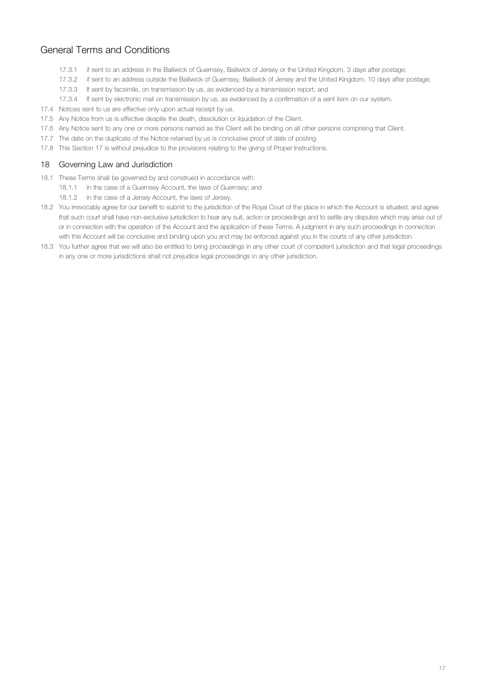- <span id="page-16-0"></span>17.3.1 if sent to an address in the Bailiwick of Guernsey, Bailiwick of Jersey or the United Kingdom, 3 days after postage;
- 17.3.2 if sent to an address outside the Bailiwick of Guernsey, Bailiwick of Jersey and the United Kingdom, 10 days after postage;
- 17.3.3 If sent by facsimile, on transmission by us, as evidenced by a transmission report; and
- 17.3.4 If sent by electronic mail on transmission by us, as evidenced by a confirmation of a sent item on our system.
- 17.4 Notices sent to us are effective only upon actual receipt by us.
- 17.5 Any Notice from us is effective despite the death, dissolution or liquidation of the Client.
- 17.6 Any Notice sent to any one or more persons named as the Client will be binding on all other persons comprising that Client.
- 17.7 The date on the duplicate of the Notice retained by us is conclusive proof of date of posting.
- 17.8 This Section 17 is without prejudice to the provisions relating to the giving of Proper Instructions.

## 18 Governing Law and Jurisdiction

- 18.1 These Terms shall be governed by and construed in accordance with:
	- 18.1.1 in the case of a Guernsey Account, the laws of Guernsey; and
	- 18.1.2 in the case of a Jersey Account, the laws of Jersey.
- 18.2 You irrevocably agree for our benefit to submit to the jurisdiction of the Royal Court of the place in which the Account is situated, and agree that such court shall have non-exclusive jurisdiction to hear any suit, action or proceedings and to settle any disputes which may arise out of or in connection with the operation of the Account and the application of these Terms. A judgment in any such proceedings in connection with this Account will be conclusive and binding upon you and may be enforced against you in the courts of any other jurisdiction.
- 18.3 You further agree that we will also be entitled to bring proceedings in any other court of competent jurisdiction and that legal proceedings in any one or more jurisdictions shall not prejudice legal proceedings in any other jurisdiction.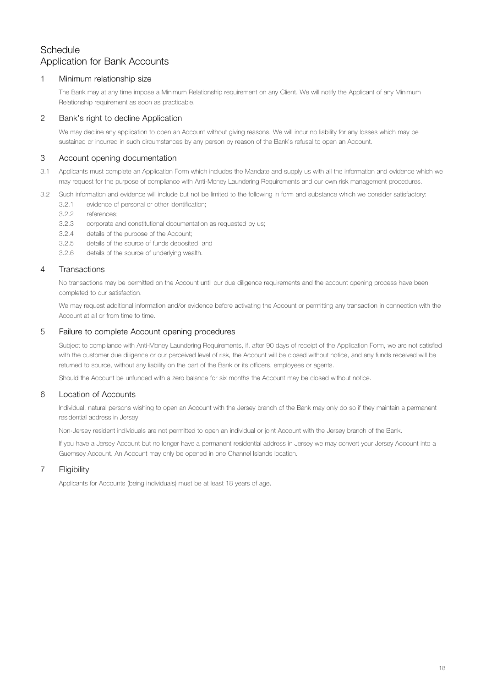# <span id="page-17-0"></span>**Schedule** Application for Bank Accounts

## 1 Minimum relationship size

The Bank may at any time impose a Minimum Relationship requirement on any Client. We will notify the Applicant of any Minimum Relationship requirement as soon as practicable.

# 2 Bank's right to decline Application

We may decline any application to open an Account without giving reasons. We will incur no liability for any losses which may be sustained or incurred in such circumstances by any person by reason of the Bank's refusal to open an Account.

# 3 Account opening documentation

- 3.1 Applicants must complete an Application Form which includes the Mandate and supply us with all the information and evidence which we may request for the purpose of compliance with Anti-Money Laundering Requirements and our own risk management procedures.
- 3.2 Such information and evidence will include but not be limited to the following in form and substance which we consider satisfactory:
	- 3.2.1 evidence of personal or other identification;
	- 3.2.2 references;
	- 3.2.3 corporate and constitutional documentation as requested by us;
	- 3.2.4 details of the purpose of the Account;
	- 3.2.5 details of the source of funds deposited; and
	- 3.2.6 details of the source of underlying wealth.

## 4 Transactions

No transactions may be permitted on the Account until our due diligence requirements and the account opening process have been completed to our satisfaction.

We may request additional information and/or evidence before activating the Account or permitting any transaction in connection with the Account at all or from time to time.

## 5 Failure to complete Account opening procedures

Subject to compliance with Anti-Money Laundering Requirements, if, after 90 days of receipt of the Application Form, we are not satisfied with the customer due diligence or our perceived level of risk, the Account will be closed without notice, and any funds received will be returned to source, without any liability on the part of the Bank or its officers, employees or agents.

Should the Account be unfunded with a zero balance for six months the Account may be closed without notice.

## 6 Location of Accounts

Individual, natural persons wishing to open an Account with the Jersey branch of the Bank may only do so if they maintain a permanent residential address in Jersey.

Non-Jersey resident individuals are not permitted to open an individual or joint Account with the Jersey branch of the Bank.

If you have a Jersey Account but no longer have a permanent residential address in Jersey we may convert your Jersey Account into a Guernsey Account. An Account may only be opened in one Channel Islands location.

## 7 Eligibility

Applicants for Accounts (being individuals) must be at least 18 years of age.